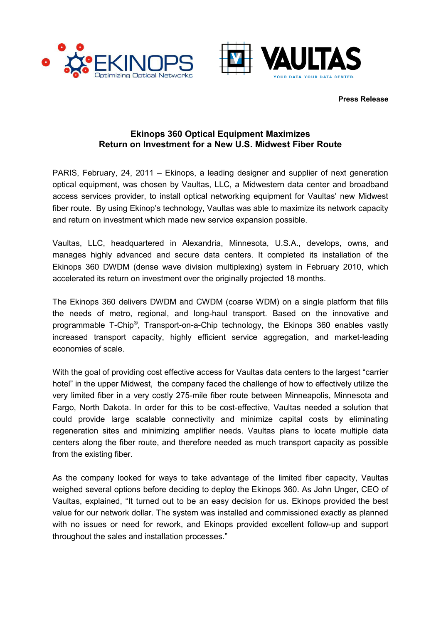



**Press Release**

## **Ekinops 360 Optical Equipment Maximizes Return on Investment for a New U.S. Midwest Fiber Route**

PARIS, February, 24, 2011 – Ekinops, a leading designer and supplier of next generation optical equipment, was chosen by Vaultas, LLC, a Midwestern data center and broadband access services provider, to install optical networking equipment for Vaultas' new Midwest fiber route. By using Ekinop's technology, Vaultas was able to maximize its network capacity and return on investment which made new service expansion possible.

Vaultas, LLC, headquartered in Alexandria, Minnesota, U.S.A., develops, owns, and manages highly advanced and secure data centers. It completed its installation of the Ekinops 360 DWDM (dense wave division multiplexing) system in February 2010, which accelerated its return on investment over the originally projected 18 months.

The Ekinops 360 delivers DWDM and CWDM (coarse WDM) on a single platform that fills the needs of metro, regional, and long-haul transport. Based on the innovative and programmable T-Chip<sup>®</sup>, Transport-on-a-Chip technology, the Ekinops 360 enables vastly increased transport capacity, highly efficient service aggregation, and market-leading economies of scale.

With the goal of providing cost effective access for Vaultas data centers to the largest "carrier hotel" in the upper Midwest, the company faced the challenge of how to effectively utilize the very limited fiber in a very costly 275-mile fiber route between Minneapolis, Minnesota and Fargo, North Dakota. In order for this to be cost-effective, Vaultas needed a solution that could provide large scalable connectivity and minimize capital costs by eliminating regeneration sites and minimizing amplifier needs. Vaultas plans to locate multiple data centers along the fiber route, and therefore needed as much transport capacity as possible from the existing fiber.

As the company looked for ways to take advantage of the limited fiber capacity, Vaultas weighed several options before deciding to deploy the Ekinops 360. As John Unger, CEO of Vaultas, explained, "It turned out to be an easy decision for us. Ekinops provided the best value for our network dollar. The system was installed and commissioned exactly as planned with no issues or need for rework, and Ekinops provided excellent follow-up and support throughout the sales and installation processes."